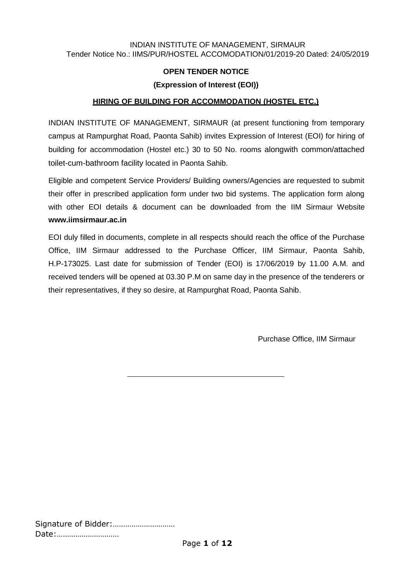### INDIAN INSTITUTE OF MANAGEMENT, SIRMAUR Tender Notice No.: IIMS/PUR/HOSTEL ACCOMODATION/01/2019-20 Dated: 24/05/2019

# **OPEN TENDER NOTICE**

# **(Expression of Interest (EOI))**

# **HIRING OF BUILDING FOR ACCOMMODATION (HOSTEL ETC.)**

INDIAN INSTITUTE OF MANAGEMENT, SIRMAUR (at present functioning from temporary campus at Rampurghat Road, Paonta Sahib) invites Expression of Interest (EOI) for hiring of building for accommodation (Hostel etc.) 30 to 50 No. rooms alongwith common/attached toilet-cum-bathroom facility located in Paonta Sahib.

Eligible and competent Service Providers/ Building owners/Agencies are requested to submit their offer in prescribed application form under two bid systems. The application form along with other EOI details & document can be downloaded from the IIM Sirmaur Website **[www.iimsirmaur.ac.in](http://www.iiitranchi.ac.in/)**

EOI duly filled in documents, complete in all respects should reach the office of the Purchase Office, IIM Sirmaur addressed to the Purchase Officer, IIM Sirmaur, Paonta Sahib, H.P-173025. Last date for submission of Tender (EOI) is 17/06/2019 by 11.00 A.M. and received tenders will be opened at 03.30 P.M on same day in the presence of the tenderers or their representatives, if they so desire, at Rampurghat Road, Paonta Sahib.

Purchase Office, IIM Sirmaur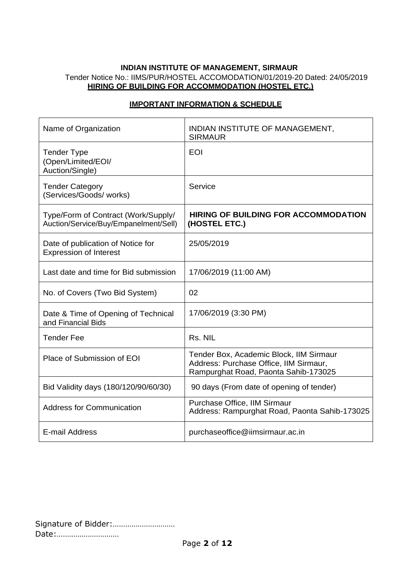# **INDIAN INSTITUTE OF MANAGEMENT, SIRMAUR** Tender Notice No.: IIMS/PUR/HOSTEL ACCOMODATION/01/2019-20 Dated: 24/05/2019 **HIRING OF BUILDING FOR ACCOMMODATION (HOSTEL ETC.)**

| Name of Organization                                                         | INDIAN INSTITUTE OF MANAGEMENT,<br><b>SIRMAUR</b>                                                                         |
|------------------------------------------------------------------------------|---------------------------------------------------------------------------------------------------------------------------|
| <b>Tender Type</b><br>(Open/Limited/EOI/<br>Auction/Single)                  | <b>EOI</b>                                                                                                                |
| <b>Tender Category</b><br>(Services/Goods/works)                             | Service                                                                                                                   |
| Type/Form of Contract (Work/Supply/<br>Auction/Service/Buy/Empanelment/Sell) | <b>HIRING OF BUILDING FOR ACCOMMODATION</b><br>(HOSTEL ETC.)                                                              |
| Date of publication of Notice for<br><b>Expression of Interest</b>           | 25/05/2019                                                                                                                |
| Last date and time for Bid submission                                        | 17/06/2019 (11:00 AM)                                                                                                     |
| No. of Covers (Two Bid System)                                               | 02                                                                                                                        |
| Date & Time of Opening of Technical<br>and Financial Bids                    | 17/06/2019 (3:30 PM)                                                                                                      |
| <b>Tender Fee</b>                                                            | Rs. NIL                                                                                                                   |
| Place of Submission of EOI                                                   | Tender Box, Academic Block, IIM Sirmaur<br>Address: Purchase Office, IIM Sirmaur,<br>Rampurghat Road, Paonta Sahib-173025 |
| Bid Validity days (180/120/90/60/30)                                         | 90 days (From date of opening of tender)                                                                                  |
| <b>Address for Communication</b>                                             | Purchase Office, IIM Sirmaur<br>Address: Rampurghat Road, Paonta Sahib-173025                                             |
| E-mail Address                                                               | purchaseoffice@iimsirmaur.ac.in                                                                                           |

# **IMPORTANT INFORMATION & SCHEDULE**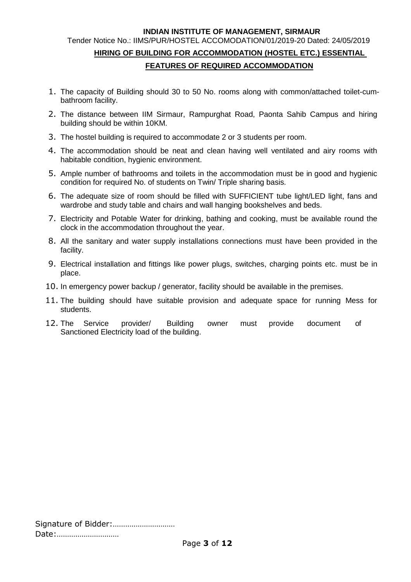#### **INDIAN INSTITUTE OF MANAGEMENT, SIRMAUR**

# Tender Notice No.: IIMS/PUR/HOSTEL ACCOMODATION/01/2019-20 Dated: 24/05/2019 **HIRING OF BUILDING FOR ACCOMMODATION (HOSTEL ETC.) ESSENTIAL FEATURES OF REQUIRED ACCOMMODATION**

- 1. The capacity of Building should 30 to 50 No. rooms along with common/attached toilet-cumbathroom facility.
- 2. The distance between IIM Sirmaur, Rampurghat Road, Paonta Sahib Campus and hiring building should be within 10KM.
- 3. The hostel building is required to accommodate 2 or 3 students per room.
- 4. The accommodation should be neat and clean having well ventilated and airy rooms with habitable condition, hygienic environment.
- 5. Ample number of bathrooms and toilets in the accommodation must be in good and hygienic condition for required No. of students on Twin/ Triple sharing basis.
- 6. The adequate size of room should be filled with SUFFICIENT tube light/LED light, fans and wardrobe and study table and chairs and wall hanging bookshelves and beds.
- 7. Electricity and Potable Water for drinking, bathing and cooking, must be available round the clock in the accommodation throughout the year.
- 8. All the sanitary and water supply installations connections must have been provided in the facility.
- 9. Electrical installation and fittings like power plugs, switches, charging points etc. must be in place.
- 10. In emergency power backup / generator, facility should be available in the premises.
- 11. The building should have suitable provision and adequate space for running Mess for students.
- 12. The Service provider/ Building owner must provide document of Sanctioned Electricity load of the building.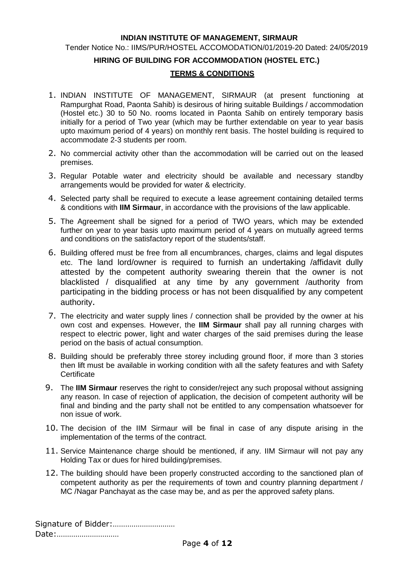#### **INDIAN INSTITUTE OF MANAGEMENT, SIRMAUR**

Tender Notice No.: IIMS/PUR/HOSTEL ACCOMODATION/01/2019-20 Dated: 24/05/2019

#### **HIRING OF BUILDING FOR ACCOMMODATION (HOSTEL ETC.)**

#### **TERMS & CONDITIONS**

- 1. INDIAN INSTITUTE OF MANAGEMENT, SIRMAUR (at present functioning at Rampurghat Road, Paonta Sahib) is desirous of hiring suitable Buildings / accommodation (Hostel etc.) 30 to 50 No. rooms located in Paonta Sahib on entirely temporary basis initially for a period of Two year (which may be further extendable on year to year basis upto maximum period of 4 years) on monthly rent basis. The hostel building is required to accommodate 2-3 students per room.
- 2. No commercial activity other than the accommodation will be carried out on the leased premises.
- 3. Regular Potable water and electricity should be available and necessary standby arrangements would be provided for water & electricity.
- 4. Selected party shall be required to execute a lease agreement containing detailed terms & conditions with **IIM Sirmaur**, in accordance with the provisions of the law applicable.
- 5. The Agreement shall be signed for a period of TWO years, which may be extended further on year to year basis upto maximum period of 4 years on mutually agreed terms and conditions on the satisfactory report of the students/staff.
- 6. Building offered must be free from all encumbrances, charges, claims and legal disputes etc. The land lord/owner is required to furnish an undertaking /affidavit dully attested by the competent authority swearing therein that the owner is not blacklisted / disqualified at any time by any government /authority from participating in the bidding process or has not been disqualified by any competent authority.
- 7. The electricity and water supply lines / connection shall be provided by the owner at his own cost and expenses. However, the **IIM Sirmaur** shall pay all running charges with respect to electric power, light and water charges of the said premises during the lease period on the basis of actual consumption.
- 8. Building should be preferably three storey including ground floor, if more than 3 stories then lift must be available in working condition with all the safety features and with Safety **Certificate**
- 9. The **IIM Sirmaur** reserves the right to consider/reject any such proposal without assigning any reason. In case of rejection of application, the decision of competent authority will be final and binding and the party shall not be entitled to any compensation whatsoever for non issue of work.
- 10. The decision of the IIM Sirmaur will be final in case of any dispute arising in the implementation of the terms of the contract.
- 11. Service Maintenance charge should be mentioned, if any. IIM Sirmaur will not pay any Holding Tax or dues for hired building/premises.
- 12. The building should have been properly constructed according to the sanctioned plan of competent authority as per the requirements of town and country planning department / MC /Nagar Panchayat as the case may be, and as per the approved safety plans.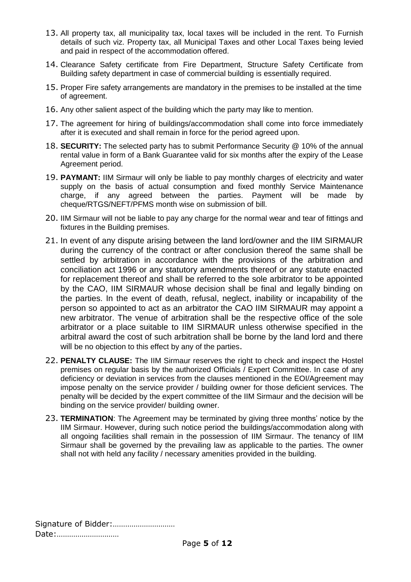- 13. All property tax, all municipality tax, local taxes will be included in the rent. To Furnish details of such viz. Property tax, all Municipal Taxes and other Local Taxes being levied and paid in respect of the accommodation offered.
- 14. Clearance Safety certificate from Fire Department, Structure Safety Certificate from Building safety department in case of commercial building is essentially required.
- 15. Proper Fire safety arrangements are mandatory in the premises to be installed at the time of agreement.
- 16. Any other salient aspect of the building which the party may like to mention.
- 17. The agreement for hiring of buildings/accommodation shall come into force immediately after it is executed and shall remain in force for the period agreed upon.
- 18. **SECURITY:** The selected party has to submit Performance Security @ 10% of the annual rental value in form of a Bank Guarantee valid for six months after the expiry of the Lease Agreement period.
- 19. **PAYMANT:** IIM Sirmaur will only be liable to pay monthly charges of electricity and water supply on the basis of actual consumption and fixed monthly Service Maintenance charge, if any agreed between the parties. Payment will be made by cheque/RTGS/NEFT/PFMS month wise on submission of bill.
- 20. IIM Sirmaur will not be liable to pay any charge for the normal wear and tear of fittings and fixtures in the Building premises.
- 21. In event of any dispute arising between the land lord/owner and the IIM SIRMAUR during the currency of the contract or after conclusion thereof the same shall be settled by arbitration in accordance with the provisions of the arbitration and conciliation act 1996 or any statutory amendments thereof or any statute enacted for replacement thereof and shall be referred to the sole arbitrator to be appointed by the CAO, IIM SIRMAUR whose decision shall be final and legally binding on the parties. In the event of death, refusal, neglect, inability or incapability of the person so appointed to act as an arbitrator the CAO IIM SIRMAUR may appoint a new arbitrator. The venue of arbitration shall be the respective office of the sole arbitrator or a place suitable to IIM SIRMAUR unless otherwise specified in the arbitral award the cost of such arbitration shall be borne by the land lord and there will be no objection to this effect by any of the parties.
- 22. **PENALTY CLAUSE:** The IIM Sirmaur reserves the right to check and inspect the Hostel premises on regular basis by the authorized Officials / Expert Committee. In case of any deficiency or deviation in services from the clauses mentioned in the EOI/Agreement may impose penalty on the service provider / building owner for those deficient services. The penalty will be decided by the expert committee of the IIM Sirmaur and the decision will be binding on the service provider/ building owner.
- 23. **TERMINATION**: The Agreement may be terminated by giving three months' notice by the IIM Sirmaur. However, during such notice period the buildings/accommodation along with all ongoing facilities shall remain in the possession of IIM Sirmaur. The tenancy of IIM Sirmaur shall be governed by the prevailing law as applicable to the parties. The owner shall not with held any facility / necessary amenities provided in the building.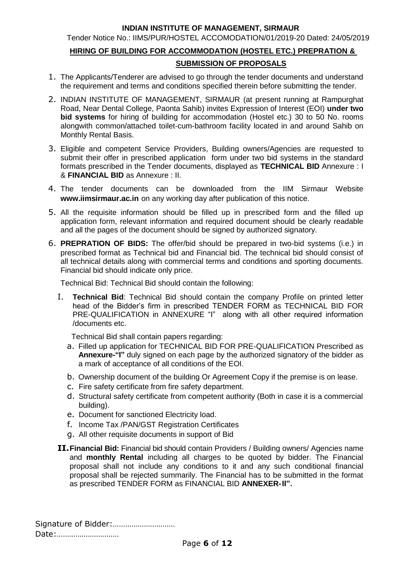### **INDIAN INSTITUTE OF MANAGEMENT, SIRMAUR**

Tender Notice No.: IIMS/PUR/HOSTEL ACCOMODATION/01/2019-20 Dated: 24/05/2019

# **HIRING OF BUILDING FOR ACCOMMODATION (HOSTEL ETC.) PREPRATION & SUBMISSION OF PROPOSALS**

- 1. The Applicants/Tenderer are advised to go through the tender documents and understand the requirement and terms and conditions specified therein before submitting the tender.
- 2. INDIAN INSTITUTE OF MANAGEMENT, SIRMAUR (at present running at Rampurghat Road, Near Dental College, Paonta Sahib) invites Expression of Interest (EOI) **under two bid systems** for hiring of building for accommodation (Hostel etc.) 30 to 50 No. rooms alongwith common/attached toilet-cum-bathroom facility located in and around Sahib on Monthly Rental Basis.
- 3. Eligible and competent Service Providers, Building owners/Agencies are requested to submit their offer in prescribed application form under two bid systems in the standard formats prescribed in the Tender documents, displayed as **TECHNICAL BID** Annexure : I & **FINANCIAL BID** as Annexure : II.
- 4. The tender documents can be downloaded from the IIM Sirmaur Website **[www.iimsirmaur.ac.in](http://www.iiitranchi.ac.in/)** on any working day after publication of this notice.
- 5. All the requisite information should be filled up in prescribed form and the filled up application form, relevant information and required document should be clearly readable and all the pages of the document should be signed by authorized signatory.
- 6. **PREPRATION OF BIDS:** The offer/bid should be prepared in two-bid systems (i.e.) in prescribed format as Technical bid and Financial bid. The technical bid should consist of all technical details along with commercial terms and conditions and sporting documents. Financial bid should indicate only price.

Technical Bid: Technical Bid should contain the following:

I. **Technical Bid**: Technical Bid should contain the company Profile on printed letter head of the Bidder's firm in prescribed TENDER FORM as TECHNICAL BID FOR PRE-QUALIFICATION in ANNEXURE "I" along with all other required information /documents etc.

Technical Bid shall contain papers regarding:

- a. Filled up application for TECHNICAL BID FOR PRE-QUALIFICATION Prescribed as **Annexure-"I"** duly signed on each page by the authorized signatory of the bidder as a mark of acceptance of all conditions of the EOI.
- b. Ownership document of the building Or Agreement Copy if the premise is on lease.
- c. Fire safety certificate from fire safety department.
- d. Structural safety certificate from competent authority (Both in case it is a commercial building).
- e. Document for sanctioned Electricity load.
- f. Income Tax /PAN/GST Registration Certificates
- g. All other requisite documents in support of Bid
- **II.Financial Bid:** Financial bid should contain Providers / Building owners/ Agencies name and **monthly Rental** including all charges to be quoted by bidder. The Financial proposal shall not include any conditions to it and any such conditional financial proposal shall be rejected summarily. The Financial has to be submitted in the format as prescribed TENDER FORM as FINANCIAL BID **ANNEXER-II".**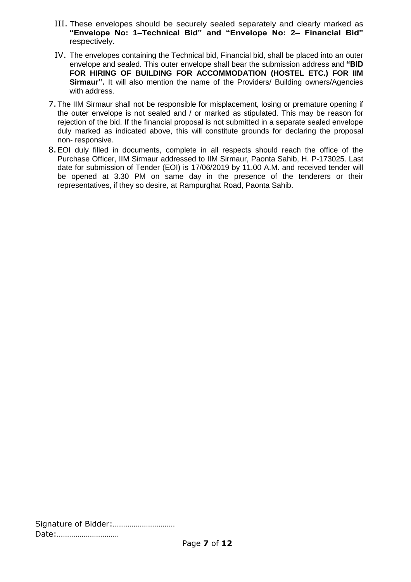- III. These envelopes should be securely sealed separately and clearly marked as **"Envelope No: 1–Technical Bid" and "Envelope No: 2– Financial Bid"** respectively.
- IV. The envelopes containing the Technical bid, Financial bid, shall be placed into an outer envelope and sealed. This outer envelope shall bear the submission address and **"BID FOR HIRING OF BUILDING FOR ACCOMMODATION (HOSTEL ETC.) FOR IIM Sirmaur''.** It will also mention the name of the Providers/ Building owners/Agencies with address.
- 7. The IIM Sirmaur shall not be responsible for misplacement, losing or premature opening if the outer envelope is not sealed and / or marked as stipulated. This may be reason for rejection of the bid. If the financial proposal is not submitted in a separate sealed envelope duly marked as indicated above, this will constitute grounds for declaring the proposal non- responsive.
- 8.EOI duly filled in documents, complete in all respects should reach the office of the Purchase Officer, IIM Sirmaur addressed to IIM Sirmaur, Paonta Sahib, H. P-173025. Last date for submission of Tender (EOI) is 17/06/2019 by 11.00 A.M. and received tender will be opened at 3.30 PM on same day in the presence of the tenderers or their representatives, if they so desire, at Rampurghat Road, Paonta Sahib.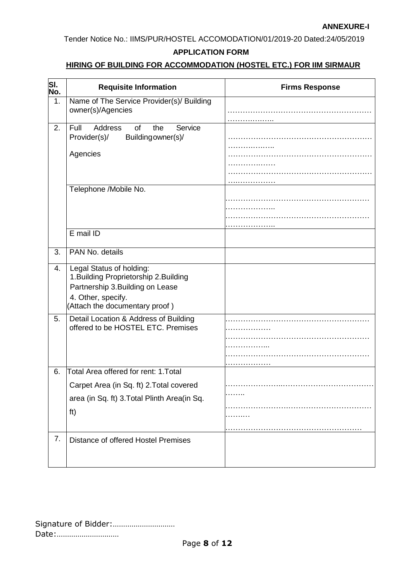### **ANNEXURE-I**

Tender Notice No.: IIMS/PUR/HOSTEL ACCOMODATION/01/2019-20 Dated:24/05/2019

# **APPLICATION FORM**

# **HIRING OF BUILDING FOR ACCOMMODATION (HOSTEL ETC.) FOR IIM SIRMAUR**

| SI.<br>No. | <b>Requisite Information</b>                                                                                                                                   | <b>Firms Response</b> |
|------------|----------------------------------------------------------------------------------------------------------------------------------------------------------------|-----------------------|
| 1.         | Name of The Service Provider(s)/ Building<br>owner(s)/Agencies                                                                                                 |                       |
| 2.         | Full<br><b>Address</b><br>of<br>the<br>Service<br>Building owner(s)/<br>Provider(s)/                                                                           |                       |
|            | Agencies                                                                                                                                                       |                       |
|            |                                                                                                                                                                |                       |
|            | Telephone /Mobile No.                                                                                                                                          |                       |
|            | E mail ID                                                                                                                                                      |                       |
| 3.         | PAN No. details                                                                                                                                                |                       |
| 4.         | Legal Status of holding:<br>1. Building Proprietorship 2. Building<br>Partnership 3. Building on Lease<br>4. Other, specify.<br>(Attach the documentary proof) |                       |
| 5.         | Detail Location & Address of Building<br>offered to be HOSTEL ETC. Premises                                                                                    |                       |
| 6.         | Total Area offered for rent: 1. Total                                                                                                                          |                       |
|            | Carpet Area (in Sq. ft) 2. Total covered<br>area (in Sq. ft) 3. Total Plinth Area (in Sq.<br>ft)                                                               |                       |
| 7.         | Distance of offered Hostel Premises                                                                                                                            |                       |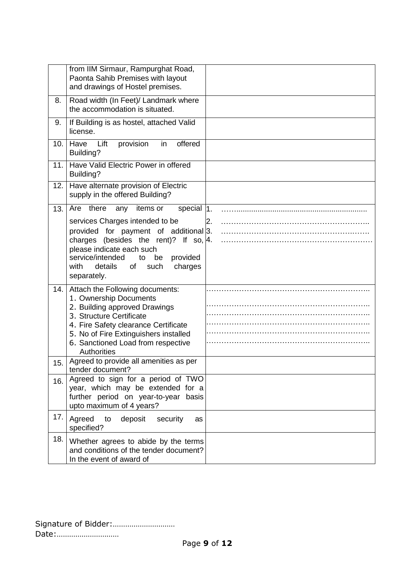|      | from IIM Sirmaur, Rampurghat Road,<br>Paonta Sahib Premises with layout<br>and drawings of Hostel premises.                                                                                                                                                                                                  |    |
|------|--------------------------------------------------------------------------------------------------------------------------------------------------------------------------------------------------------------------------------------------------------------------------------------------------------------|----|
| 8.   | Road width (In Feet)/ Landmark where<br>the accommodation is situated.                                                                                                                                                                                                                                       |    |
| 9.   | If Building is as hostel, attached Valid<br>license.                                                                                                                                                                                                                                                         |    |
| 10.1 | offered<br>Have<br>Lift<br>provision<br>in<br>Building?                                                                                                                                                                                                                                                      |    |
| 11.  | Have Valid Electric Power in offered<br>Building?                                                                                                                                                                                                                                                            |    |
| 12.  | Have alternate provision of Electric<br>supply in the offered Building?                                                                                                                                                                                                                                      |    |
| 13.  | Are there<br>special $ 1 $ .<br>items or<br>any<br>services Charges intended to be<br>provided for payment of additional 3.<br>charges (besides the rent)? If so, $ 4$ .<br>please indicate each such<br>service/intended<br>to<br>be<br>provided<br>details<br>such<br>with<br>of<br>charges<br>separately. | 2. |
| 14.  | Attach the Following documents:<br>1. Ownership Documents<br>2. Building approved Drawings<br>3. Structure Certificate<br>4. Fire Safety clearance Certificate<br>5. No of Fire Extinguishers installed<br>6. Sanctioned Load from respective<br>Authorities                                                 |    |
| 15.  | Agreed to provide all amenities as per<br>tender document?                                                                                                                                                                                                                                                   |    |
| 16.  | Agreed to sign for a period of TWO<br>year, which may be extended for a<br>further period on year-to-year basis<br>upto maximum of 4 years?                                                                                                                                                                  |    |
| 17.  | Agreed<br>to<br>deposit<br>security<br>as<br>specified?                                                                                                                                                                                                                                                      |    |
| 18.  | Whether agrees to abide by the terms<br>and conditions of the tender document?<br>In the event of award of                                                                                                                                                                                                   |    |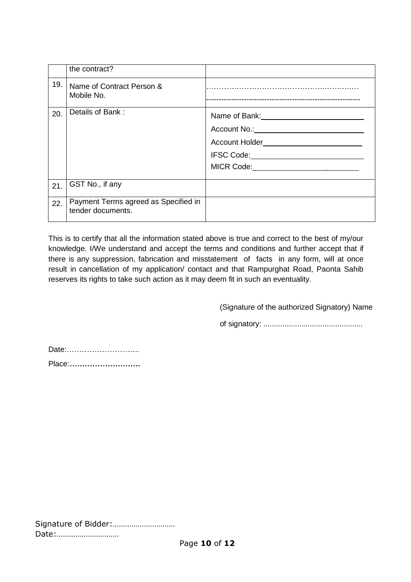|     | the contract?                                             |                                                                                                                                                                                                                                                                                 |
|-----|-----------------------------------------------------------|---------------------------------------------------------------------------------------------------------------------------------------------------------------------------------------------------------------------------------------------------------------------------------|
| 19. | Name of Contract Person &<br>Mobile No.                   |                                                                                                                                                                                                                                                                                 |
| 20. | Details of Bank:                                          | Name of Bank: <u>contract and the set of the set of the set of the set of the set of the set of the set of the set of the set of the set of the set of the set of the set of the set of the set of the set of the set of the set</u><br>Account No.: Account No.:<br>IFSC Code: |
| 21. | GST No., if any                                           |                                                                                                                                                                                                                                                                                 |
| 22. | Payment Terms agreed as Specified in<br>tender documents. |                                                                                                                                                                                                                                                                                 |

This is to certify that all the information stated above is true and correct to the best of my/our knowledge. I/We understand and accept the terms and conditions and further accept that if there is any suppression, fabrication and misstatement of facts in any form, will at once result in cancellation of my application/ contact and that Rampurghat Road, Paonta Sahib reserves its rights to take such action as it may deem fit in such an eventuality.

(Signature of the authorized Signatory) Name

of signatory: ...............................................

Date:……………………….. Place:**……………………….**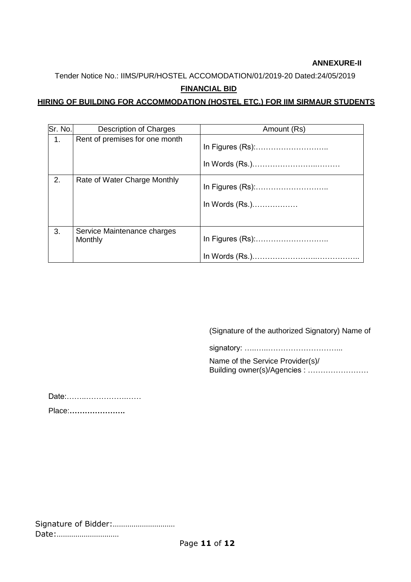# **ANNEXURE-II**

Tender Notice No.: IIMS/PUR/HOSTEL ACCOMODATION/01/2019-20 Dated:24/05/2019

# **FINANCIAL BID**

# **HIRING OF BUILDING FOR ACCOMMODATION (HOSTEL ETC.) FOR IIM SIRMAUR STUDENTS**

| Sr. No.        | Description of Charges                 | Amount (Rs)    |
|----------------|----------------------------------------|----------------|
| $\mathbf{1}$ . | Rent of premises for one month         |                |
| 2.             | Rate of Water Charge Monthly           | In Words (Rs.) |
| 3.             | Service Maintenance charges<br>Monthly |                |

(Signature of the authorized Signatory) Name of

signatory: …..…..………………………...

Name of the Service Provider(s)/ Building owner(s)/Agencies : ……………………

Date:……..…………….……

Place:**………………….**